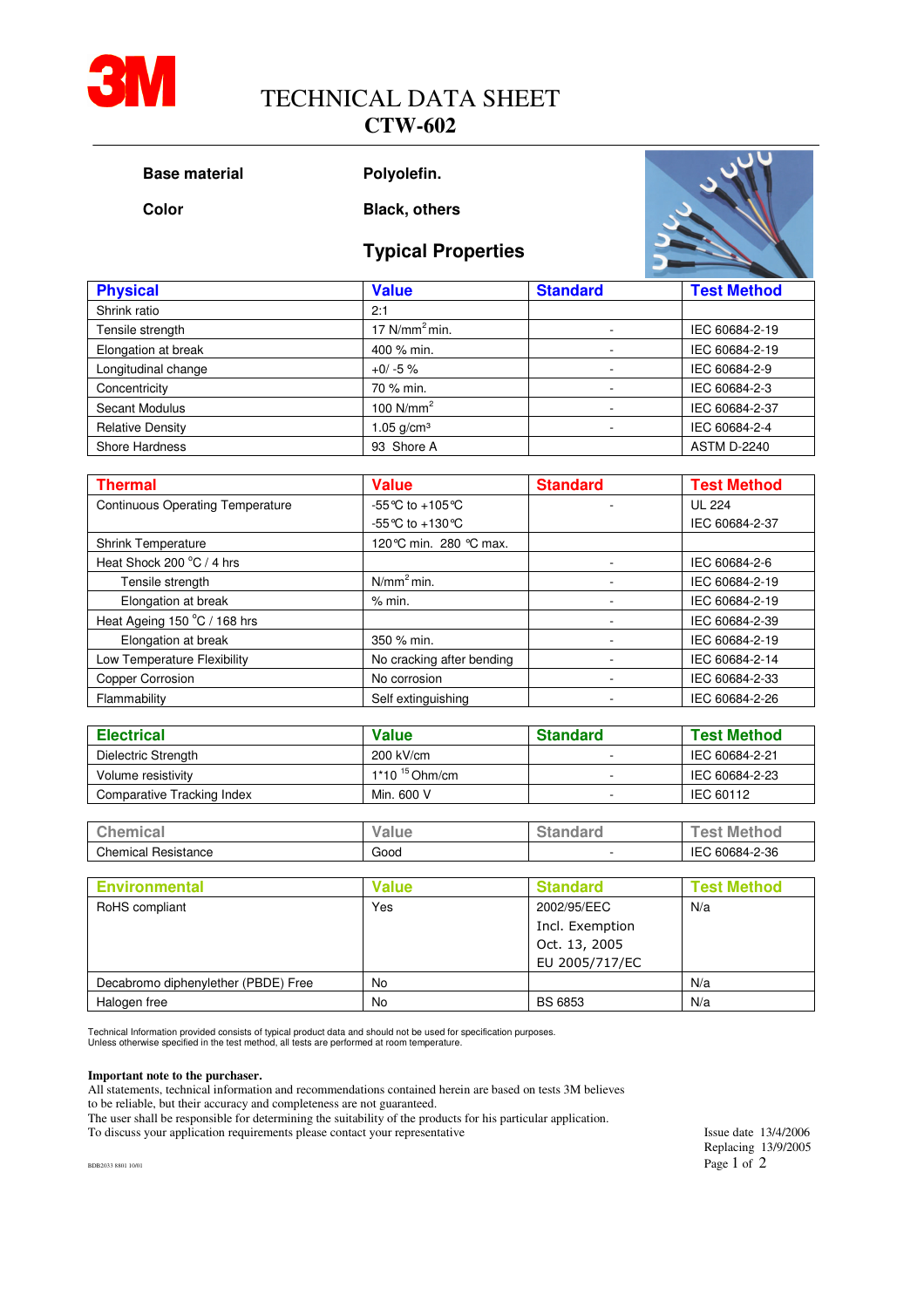

# TECHNICAL DATA SHEET

### **CTW-602**

```
Base material Polyolefin.
```
**Color Black, others** 



| <b>Typical Properties</b> |  |
|---------------------------|--|
|---------------------------|--|

| <b>Physical</b>         | <b>Value</b>    | <b>Standard</b> | <b>Test Method</b> |  |
|-------------------------|-----------------|-----------------|--------------------|--|
| Shrink ratio            | 2:1             |                 |                    |  |
| Tensile strength        | 17 $N/mm2 min.$ |                 | IEC 60684-2-19     |  |
| Elongation at break     | 400 % min.      |                 | IEC 60684-2-19     |  |
| Longitudinal change     | $+0/ -5$ %      |                 | IEC 60684-2-9      |  |
| Concentricity           | 70 % min.       |                 | IEC 60684-2-3      |  |
| Secant Modulus          | 100 $N/mm2$     |                 | IEC 60684-2-37     |  |
| <b>Relative Density</b> | 1.05 $q/cm^3$   |                 | IEC 60684-2-4      |  |
| Shore Hardness          | 93 Shore A      |                 | <b>ASTM D-2240</b> |  |

| <b>Thermal</b>                          | <b>Value</b>              | <b>Standard</b> | <b>Test Method</b> |
|-----------------------------------------|---------------------------|-----------------|--------------------|
| <b>Continuous Operating Temperature</b> | -55 °C to +105 °C         |                 | <b>UL 224</b>      |
|                                         | -55 °C to +130 °C         |                 | IEC 60684-2-37     |
| <b>Shrink Temperature</b>               | 120 °C min. 280 °C max.   |                 |                    |
| Heat Shock 200 °C / 4 hrs               |                           |                 | IEC 60684-2-6      |
| Tensile strength                        | N/mm <sup>2</sup> min.    |                 | IEC 60684-2-19     |
| Elongation at break                     | % min.                    |                 | IEC 60684-2-19     |
| Heat Ageing 150 °C / 168 hrs            |                           |                 | IEC 60684-2-39     |
| Elongation at break                     | 350 % min.                |                 | IEC 60684-2-19     |
| Low Temperature Flexibility             | No cracking after bending |                 | IEC 60684-2-14     |
| Copper Corrosion                        | No corrosion              |                 | IEC 60684-2-33     |
| Flammability                            | Self extinguishing        |                 | IEC 60684-2-26     |

| <b>Electrical</b>          | <b>Value</b>       | <b>Standard</b> | <b>Test Method</b> |  |
|----------------------------|--------------------|-----------------|--------------------|--|
| Dielectric Strength        | 200 kV/cm          |                 | IEC 60684-2-21     |  |
| Volume resistivity         | $1*10^{15}$ Ohm/cm |                 | IEC 60684-2-23     |  |
| Comparative Tracking Index | Min. 600 V         |                 | IEC 60112          |  |

| $\sim$<br>∶hen<br>nıca<br>ີ | Value | $-$<br>--- | <b>Methoc</b><br>. es: |
|-----------------------------|-------|------------|------------------------|
| Chemical<br>Resistance      | Good  |            | IEC<br>60684-2-36      |

| <b>Environmental</b>                | <b>Value</b> | <b>Standard</b> | <b>Test Method</b> |
|-------------------------------------|--------------|-----------------|--------------------|
| RoHS compliant                      | Yes          | 2002/95/EEC     | N/a                |
|                                     |              | Incl. Exemption |                    |
|                                     |              | Oct. 13, 2005   |                    |
|                                     |              | EU 2005/717/EC  |                    |
| Decabromo diphenylether (PBDE) Free | No           |                 | N/a                |
| Halogen free                        | No           | <b>BS 6853</b>  | N/a                |

Technical Information provided consists of typical product data and should not be used for specification purposes. Unless otherwise specified in the test method, all tests are performed at room temperature.

#### **Important note to the purchaser.**

All statements, technical information and recommendations contained herein are based on tests 3M believes to be reliable, but their accuracy and completeness are not guaranteed.

The user shall be responsible for determining the suitability of the products for his particular application. To discuss your application requirements please contact your representative Issue date 13/4/2006

Replacing 13/9/2005 BDB2033 8801 10/01 **Page 1** of 2